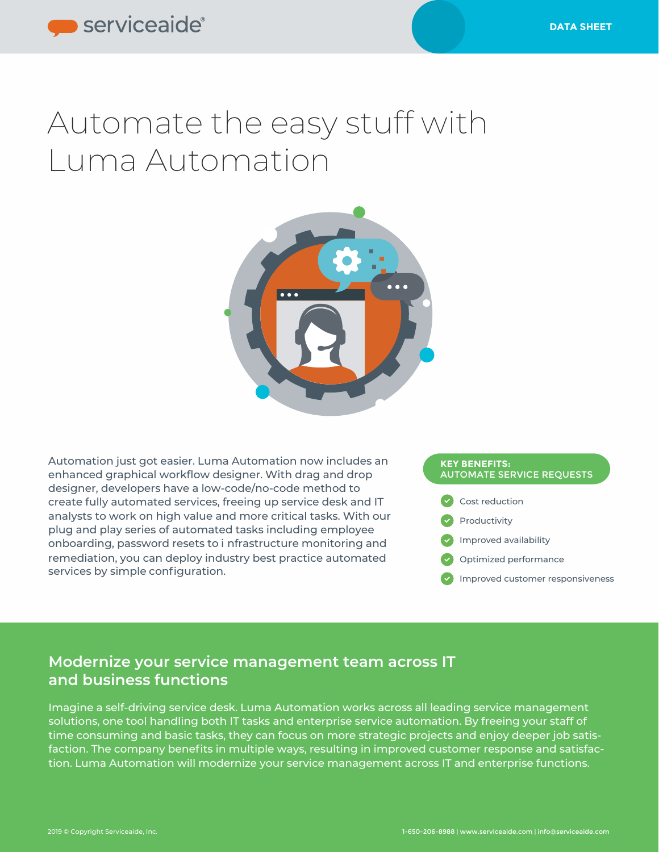# Automate the easy stuff with Luma Automation



Automation just got easier. Luma Automation now includes an enhanced graphical workflow designer. With drag and drop designer, developers have a low-code/no-code method to create fully automated services, freeing up service desk and IT analysts to work on high value and more critical tasks. With our plug and play series of automated tasks including employee onboarding, password resets to i nfrastructure monitoring and remediation, you can deploy industry best practice automated services by simple configuration.

#### **KEY BENEFITS:** AUTOMATE SERVICE REQUESTS



### **Modernize your service management team across IT and business functions**

Imagine a self-driving service desk. Luma Automation works across all leading service management solutions, one tool handling both IT tasks and enterprise service automation. By freeing your staff of time consuming and basic tasks, they can focus on more strategic projects and enjoy deeper job satisfaction. The company benefits in multiple ways, resulting in improved customer response and satisfaction. Luma Automation will modernize your service management across IT and enterprise functions.